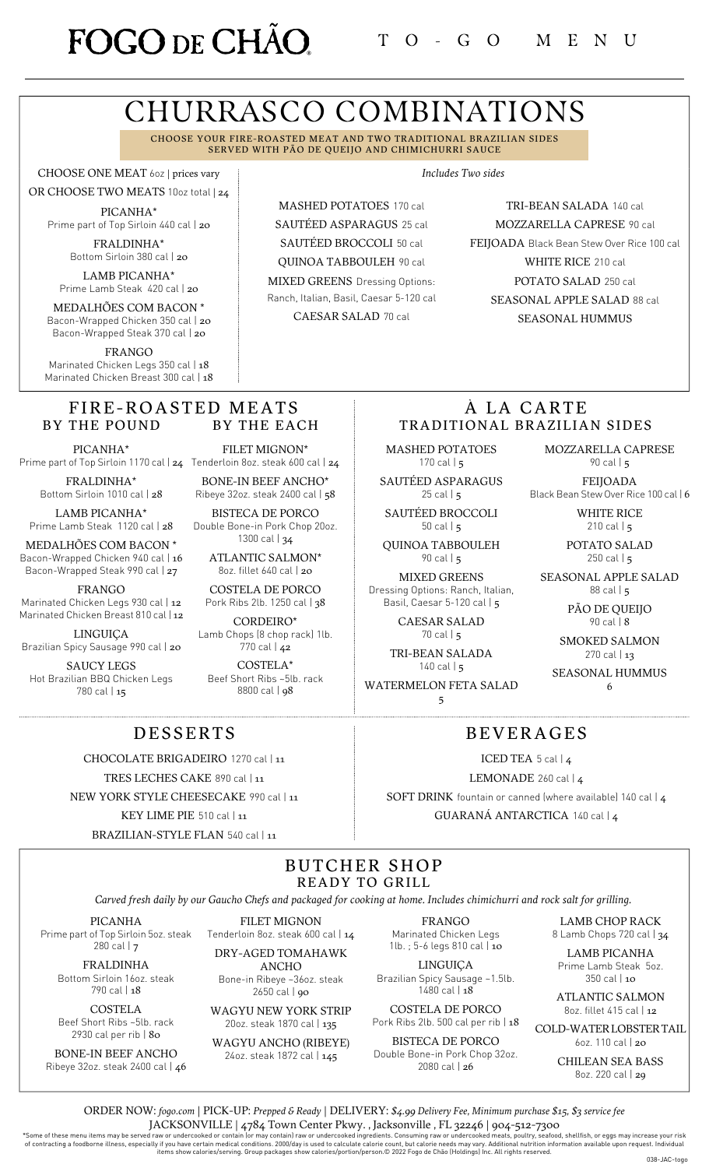# FOGO DE CHÃO

# CHURRASCO COMBINATIONS

CHOOSE YOUR FIRE-ROASTED MEAT AND TWO TRADITIONAL BRAZILIAN SIDES SERVED WITH PÃO DE QUEIJO AND CHIMICHURRI SAUCE

CHOOSE ONE MEAT 6oz | prices vary

OR CHOOSE TWO MEATS 10oz total | 24 PICANHA\* Prime part of Top Sirloin 440 cal | 20

> FRALDINHA\* Bottom Sirloin 380 cal | 20

LAMB PICANHA\* Prime Lamb Steak 420 cal | 20

MEDALHÕES COM BACON \* Bacon-Wrapped Chicken 350 cal | 20 Bacon-Wrapped Steak 370 cal | 20

FRANGO Marinated Chicken Legs 350 cal | 18 Marinated Chicken Breast 300 cal | 18

#### FIRE-ROASTED MEATS BY THE POUND BY THE EACH

PICANHA\*

FRALDINHA\* Bottom Sirloin 1010 cal | 28

LAMB PICANHA\* Prime Lamb Steak 1120 cal | 28

MEDALHÕES COM BACON \* Bacon-Wrapped Chicken 940 cal | 16 Bacon-Wrapped Steak 990 cal | 27

FRANGO

Marinated Chicken Legs 930 cal | 12 Marinated Chicken Breast 810 cal | 12

LINGUIÇA Brazilian Spicy Sausage 990 cal | 20

SAUCY LEGS Hot Brazilian BBQ Chicken Legs 780 cal | 15

Prime part of Top Sirloin 1170 cal | **24** Tenderloin 8oz. steak 600 cal | **24** FILET MIGNON\*

BONE-IN BEEF ANCHO\* Ribeye 32oz. steak 2400 cal | 58 BISTECA DE PORCO

Double Bone-in Pork Chop 20oz. 1300 cal | 34

> ATLANTIC SALMON\* 8oz. fillet 640 cal | 20

COSTELA DE PORCO Pork Ribs 2lb. 1250 cal | 38

CORDEIRO\* Lamb Chops (8 chop rack) 1lb. 770 cal | 42

COSTELA\* Beef Short Ribs ~5lb. rack 8800 cal | 98

MASHED POTATOES 170 cal SAUTÉED ASPARAGUS 25 cal SAUTÉED BROCCOLI 50 cal QUINOA TABBOULEH 90 cal MIXED GREENS Dressing Options: Ranch, Italian, Basil, Caesar 5-120 cal

CAESAR SALAD 70 cal

*Includes Two sides*

TRI-BEAN SALADA 140 cal MOZZARELLA CAPRESE 90 cal FEIJOADA Black Bean Stew Over Rice 100 cal WHITE RICE 210 cal POTATO SALAD 250 cal SEASONAL APPLE SALAD 88 cal SEASONAL HUMMUS

### À LA CARTE TRADITIONAL BRAZILIAN SIDES

BEVERAGES

ICED TEA 5 cal | 4 LEMONADE 260 cal | 4 SOFT DRINK fountain or canned (where available) 140 cal | 4 GUARANÁ ANTARCTICA 140 cal | 4

MASHED POTATOES 170 cal  $\vert$  5

SAUTÉED ASPARAGUS  $25$  cal  $\mid$  5

SAUTÉED BROCCOLI 50 cal  $\vert$  5

QUINOA TABBOULEH 90 cal | 5

MIXED GREENS Dressing Options: Ranch, Italian, Basil, Caesar 5-120 cal | 5

> CAESAR SALAD 70 cal | 5

TRI-BEAN SALADA  $140$  cal  $\frac{1}{5}$ 

WATERMELON FETA SALAD 5

MOZZARELLA CAPRESE 90 cal | 5

FEIJOADA Black Bean Stew Over Rice 100 cal | 6

> WHITE RICE 210 cal  $\vert$  5

POTATO SALAD 250 cal  $|5|$ 

SEASONAL APPLE SALAD 88 cal | 5

> PÃO DE QUEIJO 90 cal | 8

SMOKED SALMON 270 cal | 13

SEASONAL HUMMUS 6

### DESSERTS

CHOCOLATE BRIGADEIRO 1270 cal | 11

TRES LECHES CAKE 890 cal | 11

NEW YORK STYLE CHEESECAKE 990 cal | 11

KEY LIME PIE 510 cal | 11

BRAZILIAN-STYLE FLAN 540 cal | 11

#### BUTCHER SHOP READY TO GRILL

Carved fresh daily by our Gaucho Chefs and packaged for cooking at home. Includes chimichurri and rock salt for grilling.

PICANHA

Prime part of Top Sirloin 5oz. steak Tenderloin 8oz. steak 600 cal | 14 280 cal | 7

FRALDINHA Bottom Sirloin 16oz. steak 790 cal | 18

COSTELA Beef Short Ribs ~5lb. rack 2930 cal per rib | 80

BONE-IN BEEF ANCHO Ribeye 32oz. steak 2400 cal | 46 FILET MIGNON

DRY-AGED TOMAHAWK ANCHO Bone-in Ribeye ~36oz. steak

2650 cal | 90

WAGYU NEW YORK STRIP 20oz. steak 1870 cal | 135

WAGYU ANCHO (RIBEYE) 24oz. steak 1872 cal | 145

FRANGO Marinated Chicken Legs 1lb. ; 5-6 legs 810 cal | 10

LINGUIÇA Brazilian Spicy Sausage ~1.5lb. 1480 cal | 18

COSTELA DE PORCO Pork Ribs 2lb. 500 cal per rib | 18

BISTECA DE PORCO Double Bone-in Pork Chop 32oz. 2080 cal | 26

LAMB CHOP RACK 8 Lamb Chops 720 cal | 34

LAMB PICANHA Prime Lamb Steak 5oz. 350 cal | 10

ATLANTIC SALMON 8oz. fillet 415 cal | 12

COLD-WATERLOBSTERTAIL 6oz. 110 cal | 20

> CHILEAN SEA BASS 8oz. 220 cal | 29

ORDER NOW: *[fogo.com](https://fogo.olo.com/menu/fogo-de-cho-brazilian-steakhouse-17)* | PICK-UP: *Prepped & Ready* | DELIVERY: *\$4.99 Delivery Fee, Minimum purchase \$15, \$3 service fee*

 $JACKSONVILLE \mid 4784\text{ Town Center} \text{Pkwy.}, Jacksonville, FL 32246 \mid 904-512-7300$ <br>"Some of these menu items may be served raw or undercooked or contain lor may contain) raw or undercooked ingredients. Consuming raw or undercooked meats, poultry, s